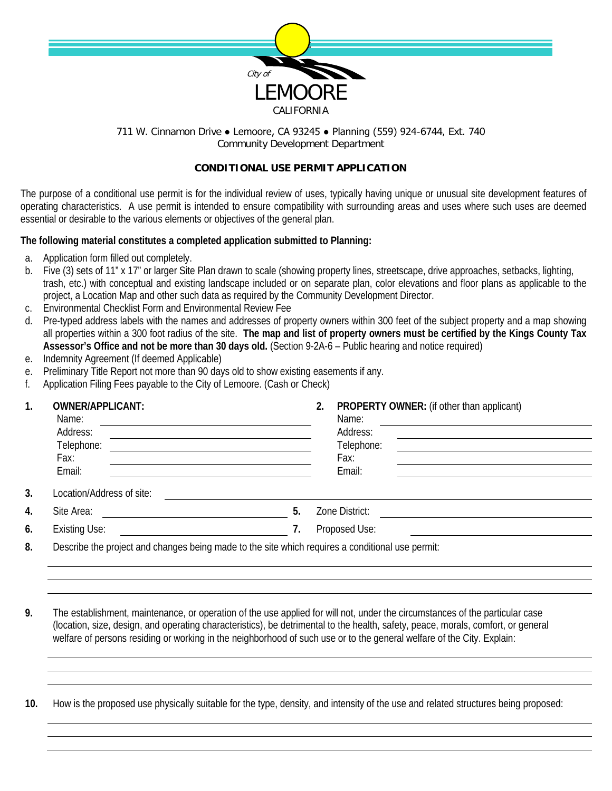

## 711 W. Cinnamon Drive . Lemoore, CA 93245 . Planning (559) 924-6744, Ext. 740 Community Development Department

## **CONDITIONAL USE PERMIT APPLICATION**

The purpose of a conditional use permit is for the individual review of uses, typically having unique or unusual site development features of operating characteristics. A use permit is intended to ensure compatibility with surrounding areas and uses where such uses are deemed essential or desirable to the various elements or objectives of the general plan.

## **The following material constitutes a completed application submitted to Planning:**

- a. Application form filled out completely.
- b. Five (3) sets of 11" x 17" or larger Site Plan drawn to scale (showing property lines, streetscape, drive approaches, setbacks, lighting, trash, etc.) with conceptual and existing landscape included or on separate plan, color elevations and floor plans as applicable to the project, a Location Map and other such data as required by the Community Development Director.
- c. Environmental Checklist Form and Environmental Review Fee
- d. Pre-typed address labels with the names and addresses of property owners within 300 feet of the subject property and a map showing all properties within a 300 foot radius of the site. **The map and list of property owners must be certified by the Kings County Tax Assessor's Office and not be more than 30 days old.** (Section 9-2A-6 – Public hearing and notice required)
- e. Indemnity Agreement (If deemed Applicable)
- e. Preliminary Title Report not more than 90 days old to show existing easements if any.
- f. Application Filing Fees payable to the City of Lemoore. (Cash or Check)

| 1. | <b>OWNER/APPLICANT:</b><br>Name:         |                                                                                                  |    | 2. | PROPERTY OWNER: (if other than applicant)<br>Name: |  |  |
|----|------------------------------------------|--------------------------------------------------------------------------------------------------|----|----|----------------------------------------------------|--|--|
|    | Address:<br>Telephone:<br>Fax:<br>Email: |                                                                                                  |    |    | Address:<br>Telephone:<br>Fax:<br>Email:           |  |  |
| 3. | Location/Address of site:                |                                                                                                  |    |    |                                                    |  |  |
| 4. | Site Area:                               |                                                                                                  | 5. |    | Zone District:                                     |  |  |
| 6. | <b>Existing Use:</b>                     |                                                                                                  | 7. |    | Proposed Use:                                      |  |  |
| 8. |                                          | Describe the project and changes being made to the site which requires a conditional use permit: |    |    |                                                    |  |  |

**9.** The establishment, maintenance, or operation of the use applied for will not, under the circumstances of the particular case (location, size, design, and operating characteristics), be detrimental to the health, safety, peace, morals, comfort, or general welfare of persons residing or working in the neighborhood of such use or to the general welfare of the City. Explain:

**10.** How is the proposed use physically suitable for the type, density, and intensity of the use and related structures being proposed: